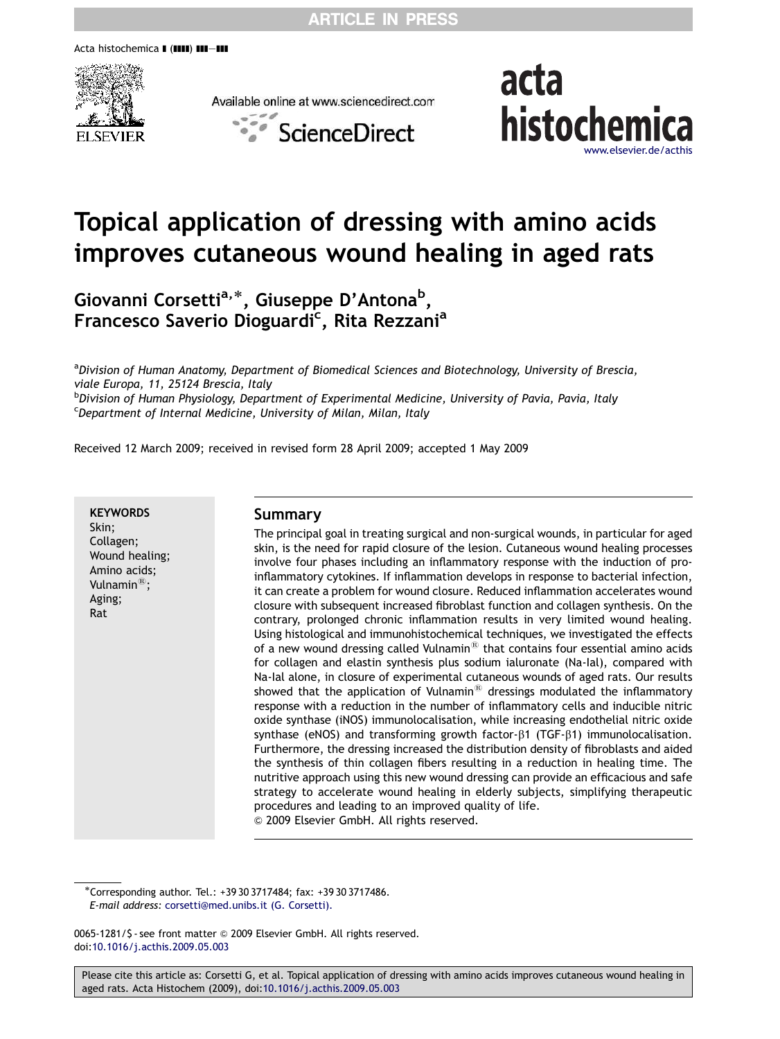Acta histochemica **I (IIII) III-III** 



Available online at www.sciencedirect.com





# Topical application of dressing with amino acids improves cutaneous wound healing in aged rats

Giovanni Corsetti<sup>a,</sup>\*, Giuseppe D'Antona<sup>b</sup>, Francesco Saverio Dioguardi<sup>c</sup>, Rita Rezzani<sup>a</sup>

<sup>a</sup>Division of Human Anatomy, Department of Biomedical Sciences and Biotechnology, University of Brescia, viale Europa, 11, 25124 Brescia, Italy

<sup>b</sup>Division of Human Physiology, Department of Experimental Medicine, University of Pavia, Pavia, Italy <sup>c</sup>Department of Internal Medicine, University of Milan, Milan, Italy

Received 12 March 2009; received in revised form 28 April 2009; accepted 1 May 2009

**KEYWORDS** Skin; Collagen; Wound healing; Amino acids; Vulnamin $^{\circledR}$ ; Aging; Rat

#### Summary

The principal goal in treating surgical and non-surgical wounds, in particular for aged skin, is the need for rapid closure of the lesion. Cutaneous wound healing processes involve four phases including an inflammatory response with the induction of proinflammatory cytokines. If inflammation develops in response to bacterial infection, it can create a problem for wound closure. Reduced inflammation accelerates wound closure with subsequent increased fibroblast function and collagen synthesis. On the contrary, prolonged chronic inflammation results in very limited wound healing. Using histological and immunohistochemical techniques, we investigated the effects of a new wound dressing called Vulnamin $^{\textcircled{\tiny{\textregistered}}}$  that contains four essential amino acids for collagen and elastin synthesis plus sodium ialuronate (Na-Ial), compared with Na-Ial alone, in closure of experimental cutaneous wounds of aged rats. Our results showed that the application of Vulnamin $^{\circledR}$  dressings modulated the inflammatory response with a reduction in the number of inflammatory cells and inducible nitric oxide synthase (iNOS) immunolocalisation, while increasing endothelial nitric oxide synthase (eNOS) and transforming growth factor- $\beta$ 1 (TGF- $\beta$ 1) immunolocalisation. Furthermore, the dressing increased the distribution density of fibroblasts and aided the synthesis of thin collagen fibers resulting in a reduction in healing time. The nutritive approach using this new wound dressing can provide an efficacious and safe strategy to accelerate wound healing in elderly subjects, simplifying therapeutic procedures and leading to an improved quality of life. & 2009 Elsevier GmbH. All rights reserved.

-Corresponding author. Tel.: +39 30 3717484; fax: +39 30 3717486. E-mail address: [corsetti@med.unibs.it \(G. Corsetti\).](mailto:corsetti@med.unibs.it)

0065-1281/\$ - see front matter @ 2009 Elsevier GmbH. All rights reserved. doi[:10.1016/j.acthis.2009.05.003](dx.doi.org/10.1016/j.acthis.2009.05.003)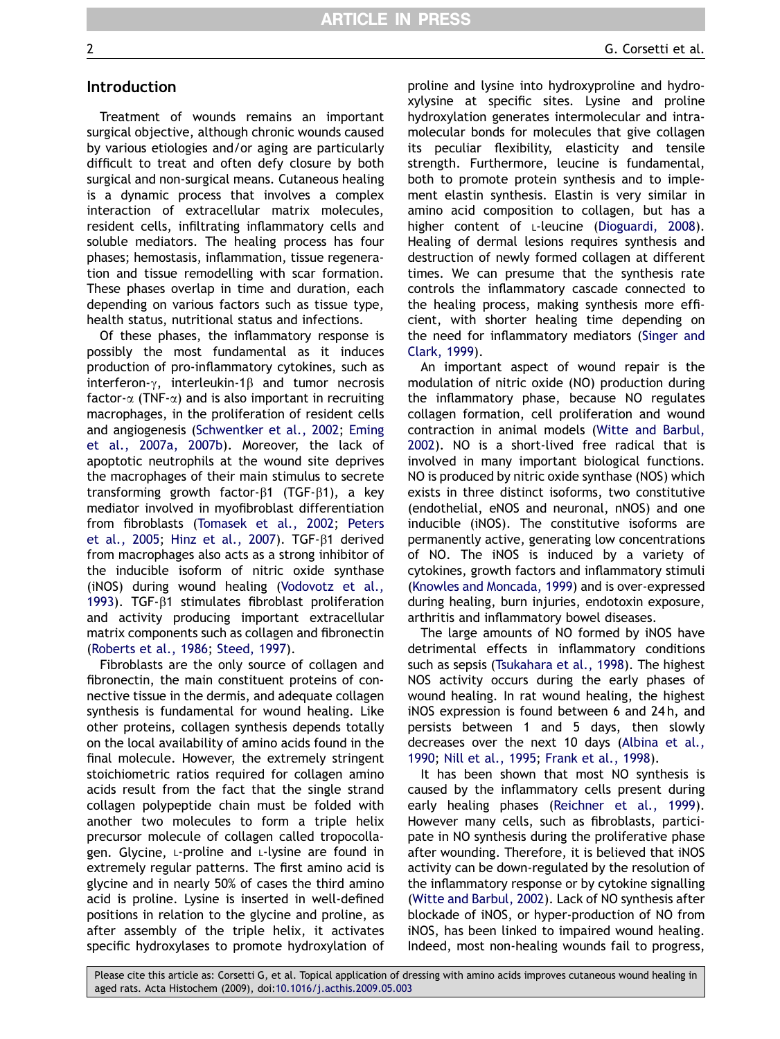## Introduction

Treatment of wounds remains an important surgical objective, although chronic wounds caused by various etiologies and/or aging are particularly difficult to treat and often defy closure by both surgical and non-surgical means. Cutaneous healing is a dynamic process that involves a complex interaction of extracellular matrix molecules, resident cells, infiltrating inflammatory cells and soluble mediators. The healing process has four phases; hemostasis, inflammation, tissue regeneration and tissue remodelling with scar formation. These phases overlap in time and duration, each depending on various factors such as tissue type, health status, nutritional status and infections.

Of these phases, the inflammatory response is possibly the most fundamental as it induces production of pro-inflammatory cytokines, such as interferon- $\gamma$ , interleukin-1 $\beta$  and tumor necrosis factor- $\alpha$  (TNF- $\alpha$ ) and is also important in recruiting macrophages, in the proliferation of resident cells and angiogenesis ([Schwentker et al., 2002](#page-10-0); [Eming](#page-9-0) [et al., 2007a, 2007b](#page-9-0)). Moreover, the lack of apoptotic neutrophils at the wound site deprives the macrophages of their main stimulus to secrete transforming growth factor- $\beta$ 1 (TGF- $\beta$ 1), a key mediator involved in myofibroblast differentiation from fibroblasts ([Tomasek et al., 2002](#page-10-0); [Peters](#page-9-0) [et al., 2005](#page-9-0); [Hinz et al., 2007\)](#page-9-0). TGF- $\beta$ 1 derived from macrophages also acts as a strong inhibitor of the inducible isoform of nitric oxide synthase (iNOS) during wound healing ([Vodovotz et al.,](#page-10-0) [1993](#page-10-0)). TGF- $\beta$ 1 stimulates fibroblast proliferation and activity producing important extracellular matrix components such as collagen and fibronectin ([Roberts et al., 1986;](#page-9-0) [Steed, 1997\)](#page-10-0).

Fibroblasts are the only source of collagen and fibronectin, the main constituent proteins of connective tissue in the dermis, and adequate collagen synthesis is fundamental for wound healing. Like other proteins, collagen synthesis depends totally on the local availability of amino acids found in the final molecule. However, the extremely stringent stoichiometric ratios required for collagen amino acids result from the fact that the single strand collagen polypeptide chain must be folded with another two molecules to form a triple helix precursor molecule of collagen called tropocollagen. Glycine, L-proline and L-lysine are found in extremely regular patterns. The first amino acid is glycine and in nearly 50% of cases the third amino acid is proline. Lysine is inserted in well-defined positions in relation to the glycine and proline, as after assembly of the triple helix, it activates specific hydroxylases to promote hydroxylation of proline and lysine into hydroxyproline and hydroxylysine at specific sites. Lysine and proline hydroxylation generates intermolecular and intramolecular bonds for molecules that give collagen its peculiar flexibility, elasticity and tensile strength. Furthermore, leucine is fundamental, both to promote protein synthesis and to implement elastin synthesis. Elastin is very similar in amino acid composition to collagen, but has a higher content of L-leucine [\(Dioguardi, 2008](#page-9-0)). Healing of dermal lesions requires synthesis and destruction of newly formed collagen at different times. We can presume that the synthesis rate controls the inflammatory cascade connected to the healing process, making synthesis more efficient, with shorter healing time depending on the need for inflammatory mediators ([Singer and](#page-10-0) [Clark, 1999](#page-10-0)).

An important aspect of wound repair is the modulation of nitric oxide (NO) production during the inflammatory phase, because NO regulates collagen formation, cell proliferation and wound contraction in animal models ([Witte and Barbul,](#page-10-0) [2002](#page-10-0)). NO is a short-lived free radical that is involved in many important biological functions. NO is produced by nitric oxide synthase (NOS) which exists in three distinct isoforms, two constitutive (endothelial, eNOS and neuronal, nNOS) and one inducible (iNOS). The constitutive isoforms are permanently active, generating low concentrations of NO. The iNOS is induced by a variety of cytokines, growth factors and inflammatory stimuli [\(Knowles and Moncada, 1999](#page-9-0)) and is over-expressed during healing, burn injuries, endotoxin exposure, arthritis and inflammatory bowel diseases.

The large amounts of NO formed by iNOS have detrimental effects in inflammatory conditions such as sepsis [\(Tsukahara et al., 1998\)](#page-10-0). The highest NOS activity occurs during the early phases of wound healing. In rat wound healing, the highest iNOS expression is found between 6 and 24 h, and persists between 1 and 5 days, then slowly decreases over the next 10 days [\(Albina et al.,](#page-8-0) [1990](#page-8-0); [Nill et al., 1995;](#page-9-0) [Frank et al., 1998\)](#page-9-0).

It has been shown that most NO synthesis is caused by the inflammatory cells present during early healing phases ([Reichner et al., 1999](#page-9-0)). However many cells, such as fibroblasts, participate in NO synthesis during the proliferative phase after wounding. Therefore, it is believed that iNOS activity can be down-regulated by the resolution of the inflammatory response or by cytokine signalling [\(Witte and Barbul, 2002\)](#page-10-0). Lack of NO synthesis after blockade of iNOS, or hyper-production of NO from iNOS, has been linked to impaired wound healing. Indeed, most non-healing wounds fail to progress,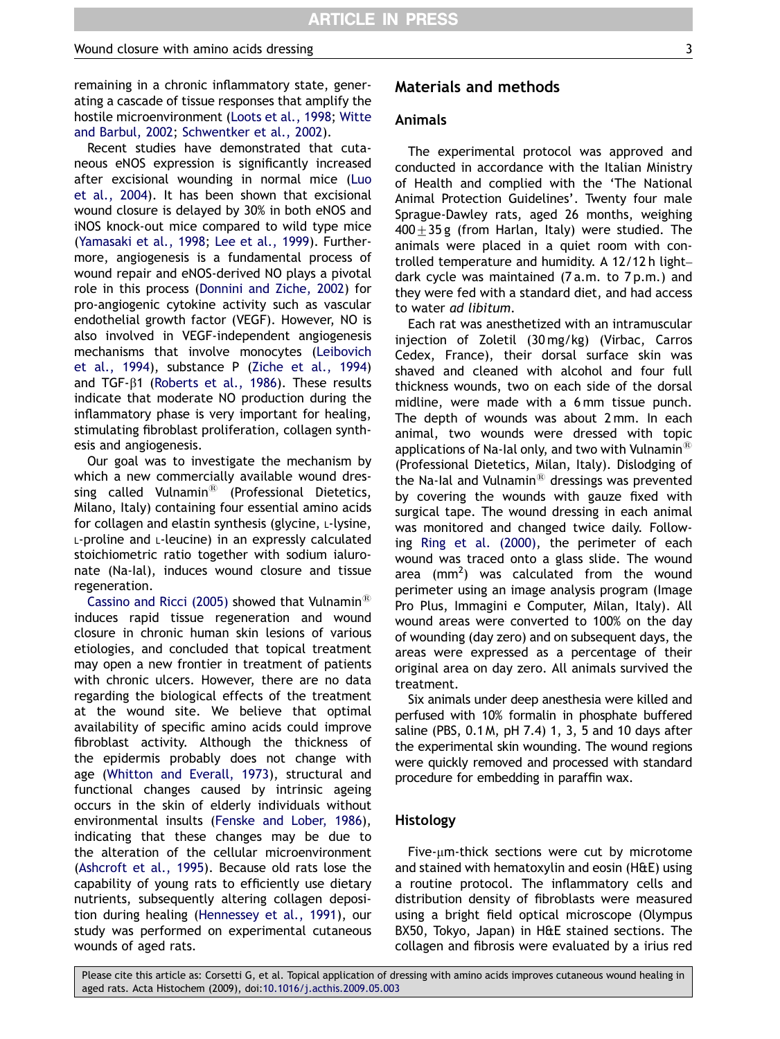remaining in a chronic inflammatory state, generating a cascade of tissue responses that amplify the hostile microenvironment [\(Loots et al., 1998](#page-9-0); [Witte](#page-10-0) [and Barbul, 2002](#page-10-0); [Schwentker et al., 2002](#page-10-0)).

Recent studies have demonstrated that cutaneous eNOS expression is significantly increased after excisional wounding in normal mice [\(Luo](#page-9-0) [et al., 2004\)](#page-9-0). It has been shown that excisional wound closure is delayed by 30% in both eNOS and iNOS knock-out mice compared to wild type mice [\(Yamasaki et al., 1998;](#page-10-0) [Lee et al., 1999](#page-9-0)). Furthermore, angiogenesis is a fundamental process of wound repair and eNOS-derived NO plays a pivotal role in this process [\(Donnini and Ziche, 2002](#page-9-0)) for pro-angiogenic cytokine activity such as vascular endothelial growth factor (VEGF). However, NO is also involved in VEGF-independent angiogenesis mechanisms that involve monocytes ([Leibovich](#page-9-0) [et al., 1994](#page-9-0)), substance P ([Ziche et al., 1994](#page-10-0)) and TGF- $\beta$ 1 [\(Roberts et al., 1986\)](#page-9-0). These results indicate that moderate NO production during the inflammatory phase is very important for healing, stimulating fibroblast proliferation, collagen synthesis and angiogenesis.

Our goal was to investigate the mechanism by which a new commercially available wound dressing called Vulnamin $^{\circledR}$  (Professional Dietetics, Milano, Italy) containing four essential amino acids for collagen and elastin synthesis (glycine, L-lysine, L-proline and L-leucine) in an expressly calculated stoichiometric ratio together with sodium ialuronate (Na-Ial), induces wound closure and tissue regeneration.

[Cassino and Ricci \(2005\)](#page-9-0) showed that Vulnamin<sup>®</sup> induces rapid tissue regeneration and wound closure in chronic human skin lesions of various etiologies, and concluded that topical treatment may open a new frontier in treatment of patients with chronic ulcers. However, there are no data regarding the biological effects of the treatment at the wound site. We believe that optimal availability of specific amino acids could improve fibroblast activity. Although the thickness of the epidermis probably does not change with age ([Whitton and Everall, 1973](#page-10-0)), structural and functional changes caused by intrinsic ageing occurs in the skin of elderly individuals without environmental insults ([Fenske and Lober, 1986\)](#page-9-0), indicating that these changes may be due to the alteration of the cellular microenvironment [\(Ashcroft et al., 1995\)](#page-8-0). Because old rats lose the capability of young rats to efficiently use dietary nutrients, subsequently altering collagen deposition during healing ([Hennessey et al., 1991](#page-9-0)), our study was performed on experimental cutaneous wounds of aged rats.

## Materials and methods

#### Animals

The experimental protocol was approved and conducted in accordance with the Italian Ministry of Health and complied with the 'The National Animal Protection Guidelines'. Twenty four male Sprague-Dawley rats, aged 26 months, weighing  $400+35$  g (from Harlan, Italy) were studied. The animals were placed in a quiet room with controlled temperature and humidity. A 12/12 h light– dark cycle was maintained (7 a.m. to 7 p.m.) and they were fed with a standard diet, and had access to water ad libitum.

Each rat was anesthetized with an intramuscular injection of Zoletil (30 mg/kg) (Virbac, Carros Cedex, France), their dorsal surface skin was shaved and cleaned with alcohol and four full thickness wounds, two on each side of the dorsal midline, were made with a 6 mm tissue punch. The depth of wounds was about 2 mm. In each animal, two wounds were dressed with topic applications of Na-Ial only, and two with Vulnamin<sup>®</sup> (Professional Dietetics, Milan, Italy). Dislodging of the Na-Ial and Vulnamin $^{\circledR}$  dressings was prevented by covering the wounds with gauze fixed with surgical tape. The wound dressing in each animal was monitored and changed twice daily. Following [Ring et al. \(2000\),](#page-9-0) the perimeter of each wound was traced onto a glass slide. The wound area  $\text{(mm}^2)$  was calculated from the wound perimeter using an image analysis program (Image Pro Plus, Immagini e Computer, Milan, Italy). All wound areas were converted to 100% on the day of wounding (day zero) and on subsequent days, the areas were expressed as a percentage of their original area on day zero. All animals survived the treatment.

Six animals under deep anesthesia were killed and perfused with 10% formalin in phosphate buffered saline (PBS, 0.1 M, pH 7.4) 1, 3, 5 and 10 days after the experimental skin wounding. The wound regions were quickly removed and processed with standard procedure for embedding in paraffin wax.

#### Histology

Five-um-thick sections were cut by microtome and stained with hematoxylin and eosin (H&E) using a routine protocol. The inflammatory cells and distribution density of fibroblasts were measured using a bright field optical microscope (Olympus BX50, Tokyo, Japan) in H&E stained sections. The collagen and fibrosis were evaluated by a irius red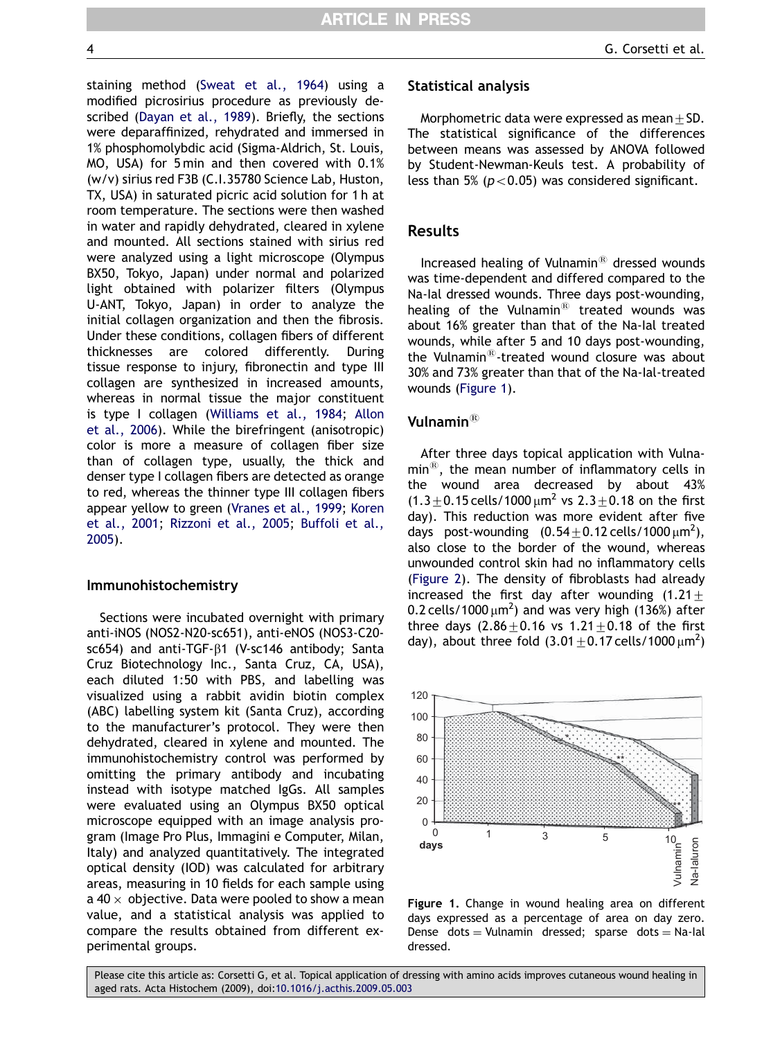staining method [\(Sweat et al., 1964](#page-10-0)) using a modified picrosirius procedure as previously described [\(Dayan et al., 1989\)](#page-9-0). Briefly, the sections were deparaffinized, rehydrated and immersed in 1% phosphomolybdic acid (Sigma-Aldrich, St. Louis, MO, USA) for 5 min and then covered with 0.1% (w/v) sirius red F3B (C.I.35780 Science Lab, Huston, TX, USA) in saturated picric acid solution for 1 h at room temperature. The sections were then washed in water and rapidly dehydrated, cleared in xylene and mounted. All sections stained with sirius red were analyzed using a light microscope (Olympus BX50, Tokyo, Japan) under normal and polarized light obtained with polarizer filters (Olympus U-ANT, Tokyo, Japan) in order to analyze the initial collagen organization and then the fibrosis. Under these conditions, collagen fibers of different thicknesses are colored differently. During tissue response to injury, fibronectin and type III collagen are synthesized in increased amounts, whereas in normal tissue the major constituent is type I collagen [\(Williams et al., 1984](#page-10-0); [Allon](#page-8-0) [et al., 2006](#page-8-0)). While the birefringent (anisotropic) color is more a measure of collagen fiber size than of collagen type, usually, the thick and denser type I collagen fibers are detected as orange to red, whereas the thinner type III collagen fibers appear yellow to green ([Vranes et al., 1999](#page-10-0); [Koren](#page-9-0) [et al., 2001](#page-9-0); [Rizzoni et al., 2005](#page-9-0); [Buffoli et al.,](#page-8-0) [2005](#page-8-0)).

#### Immunohistochemistry

Sections were incubated overnight with primary anti-iNOS (NOS2-N20-sc651), anti-eNOS (NOS3-C20 sc654) and anti-TGF-β1 (V-sc146 antibody; Santa Cruz Biotechnology Inc., Santa Cruz, CA, USA), each diluted 1:50 with PBS, and labelling was visualized using a rabbit avidin biotin complex (ABC) labelling system kit (Santa Cruz), according to the manufacturer's protocol. They were then dehydrated, cleared in xylene and mounted. The immunohistochemistry control was performed by omitting the primary antibody and incubating instead with isotype matched IgGs. All samples were evaluated using an Olympus BX50 optical microscope equipped with an image analysis program (Image Pro Plus, Immagini e Computer, Milan, Italy) and analyzed quantitatively. The integrated optical density (IOD) was calculated for arbitrary areas, measuring in 10 fields for each sample using a 40  $\times$  objective. Data were pooled to show a mean value, and a statistical analysis was applied to compare the results obtained from different experimental groups.

## Statistical analysis

Morphometric data were expressed as mean $\pm$ SD. The statistical significance of the differences between means was assessed by ANOVA followed by Student-Newman-Keuls test. A probability of less than 5% ( $p < 0.05$ ) was considered significant.

## Results

Increased healing of Vulnamin $<sup>8</sup>$  dressed wounds</sup> was time-dependent and differed compared to the Na-Ial dressed wounds. Three days post-wounding, healing of the Vulnamin $<sup>®</sup>$  treated wounds was</sup> about 16% greater than that of the Na-Ial treated wounds, while after 5 and 10 days post-wounding, the Vulnamin $^{\circledR}$ -treated wound closure was about 30% and 73% greater than that of the Na-Ial-treated wounds (Figure 1).

## Vulnamin $^{\circledR}$

After three days topical application with Vulna $min^{\circledR}$ , the mean number of inflammatory cells in the wound area decreased by about 43%  $(1.3\pm0.15 \text{ cells}/1000 \,\mu\text{m}^2 \text{ vs } 2.3\pm0.18 \text{ on the first})$ day). This reduction was more evident after five days post-wounding  $(0.54 \pm 0.12 \text{ cells}/1000 \,\mu\text{m}^2)$ , also close to the border of the wound, whereas unwounded control skin had no inflammatory cells [\(Figure 2](#page-4-0)). The density of fibroblasts had already increased the first day after wounding  $(1.21 +$ 0.2 cells/1000  $\mu$ m<sup>2</sup>) and was very high (136%) after three days  $(2.86 + 0.16 \text{ vs } 1.21 + 0.18 \text{ of the first})$ day), about three fold  $(3.01 \pm 0.17 \text{ cells}/1000 \,\mu\text{m}^2)$ 



Figure 1. Change in wound healing area on different days expressed as a percentage of area on day zero. Dense dots  $=$  Vulnamin dressed; sparse dots  $=$  Na-Ial dressed.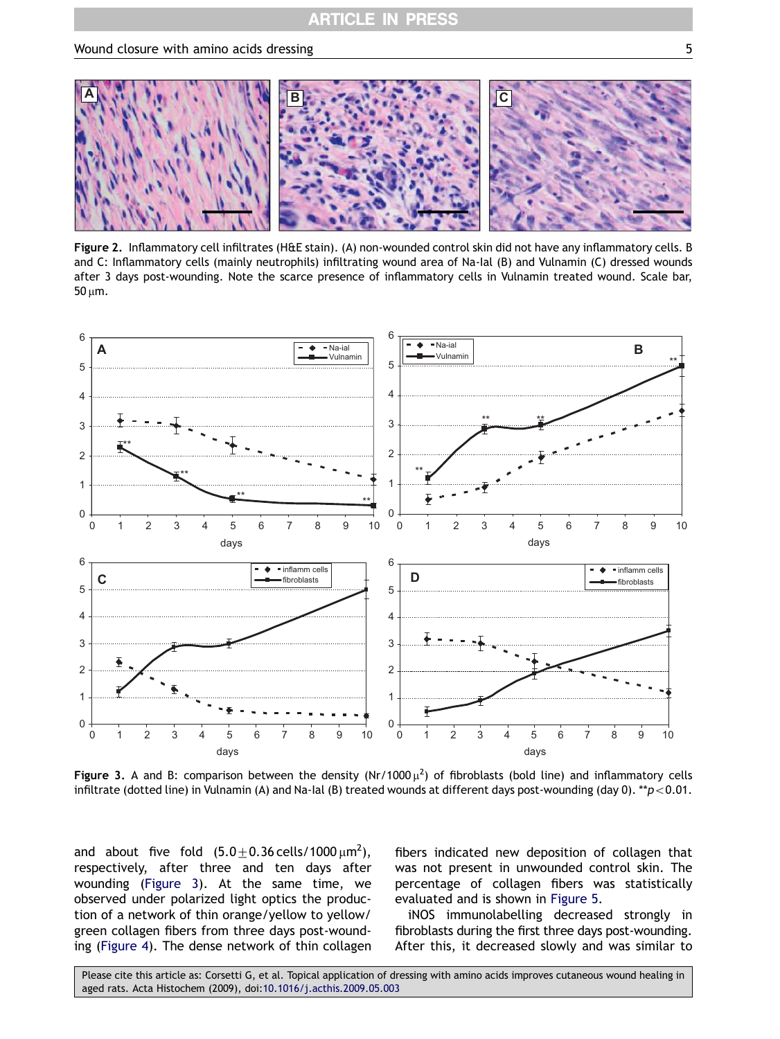<span id="page-4-0"></span>

Figure 2. Inflammatory cell infiltrates (H&E stain). (A) non-wounded control skin did not have any inflammatory cells. B and C: Inflammatory cells (mainly neutrophils) infiltrating wound area of Na-Ial (B) and Vulnamin (C) dressed wounds after 3 days post-wounding. Note the scarce presence of inflammatory cells in Vulnamin treated wound. Scale bar, 50 um.



Figure 3. A and B: comparison between the density (Nr/1000  $\mu^2$ ) of fibroblasts (bold line) and inflammatory cells infiltrate (dotted line) in Vulnamin (A) and Na-Ial (B) treated wounds at different days post-wounding (day 0). \*\*p<0.01.

and about five fold  $(5.0\pm0.36\,$ cells/1000 $\mu$ m $^2$ ), respectively, after three and ten days after wounding (Figure 3). At the same time, we observed under polarized light optics the production of a network of thin orange/yellow to yellow/ green collagen fibers from three days post-wounding [\(Figure 4](#page-5-0)). The dense network of thin collagen fibers indicated new deposition of collagen that was not present in unwounded control skin. The percentage of collagen fibers was statistically evaluated and is shown in [Figure 5.](#page-5-0)

iNOS immunolabelling decreased strongly in fibroblasts during the first three days post-wounding. After this, it decreased slowly and was similar to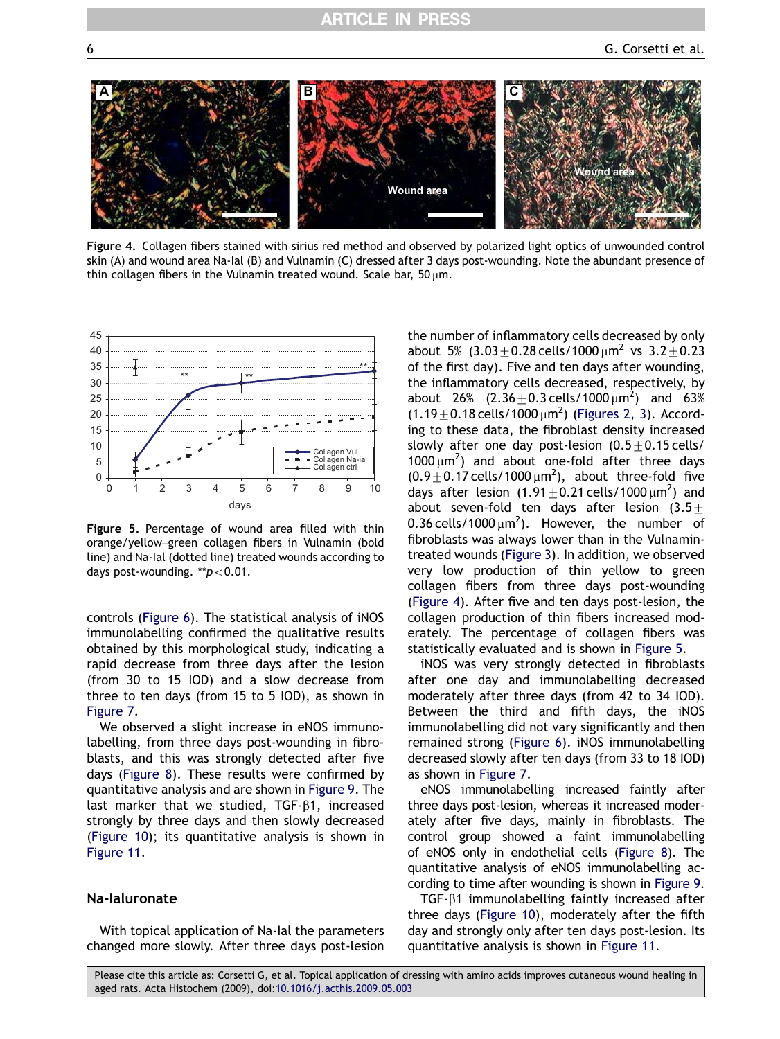<span id="page-5-0"></span>

Figure 4. Collagen fibers stained with sirius red method and observed by polarized light optics of unwounded control skin (A) and wound area Na-Ial (B) and Vulnamin (C) dressed after 3 days post-wounding. Note the abundant presence of thin collagen fibers in the Vulnamin treated wound. Scale bar,  $50 \mu m$ .



Figure 5. Percentage of wound area filled with thin orange/yellow–green collagen fibers in Vulnamin (bold line) and Na-Ial (dotted line) treated wounds according to days post-wounding. \*\* $p < 0.01$ .

controls ([Figure 6](#page-6-0)). The statistical analysis of iNOS immunolabelling confirmed the qualitative results obtained by this morphological study, indicating a rapid decrease from three days after the lesion (from 30 to 15 IOD) and a slow decrease from three to ten days (from 15 to 5 IOD), as shown in [Figure 7.](#page-6-0)

We observed a slight increase in eNOS immunolabelling, from three days post-wounding in fibroblasts, and this was strongly detected after five days [\(Figure 8](#page-7-0)). These results were confirmed by quantitative analysis and are shown in [Figure 9.](#page-7-0) The last marker that we studied,  $TGF- $\beta$ 1, increased$ strongly by three days and then slowly decreased ([Figure 10](#page-8-0)); its quantitative analysis is shown in [Figure 11.](#page-8-0)

#### Na-Ialuronate

With topical application of Na-Ial the parameters changed more slowly. After three days post-lesion the number of inflammatory cells decreased by only about 5%  $(3.03 \pm 0.28 \text{ cells}/1000 \mu m^2 \text{ vs } 3.2 \pm 0.23)$ of the first day). Five and ten days after wounding, the inflammatory cells decreased, respectively, by about 26%  $(2.36 \pm 0.3 \,\text{cells}/1000 \,\mu\text{m}^2)$  and 63%  $(1.19 \pm 0.18 \text{ cells} / 1000 \,\mu\text{m}^2)$  [\(Figures 2, 3\)](#page-4-0). According to these data, the fibroblast density increased slowly after one day post-lesion  $(0.5+0.15 \text{ cells}/$  $1000 \mu m^2$ ) and about one-fold after three days  $(0.9 \pm 0.17 \text{ cells} / 1000 \,\mu\text{m}^2)$ , about three-fold five days after lesion  $(1.91 \pm 0.21 \text{ cells}/1000 \,\mu\text{m}^2)$  and about seven-fold ten days after lesion  $(3.5\pm$ 0.36 cells/1000  $\mu$ m<sup>2</sup>). However, the number of fibroblasts was always lower than in the Vulnamintreated wounds ([Figure 3](#page-4-0)). In addition, we observed very low production of thin yellow to green collagen fibers from three days post-wounding (Figure 4). After five and ten days post-lesion, the collagen production of thin fibers increased moderately. The percentage of collagen fibers was statistically evaluated and is shown in Figure 5.

iNOS was very strongly detected in fibroblasts after one day and immunolabelling decreased moderately after three days (from 42 to 34 IOD). Between the third and fifth days, the iNOS immunolabelling did not vary significantly and then remained strong [\(Figure 6](#page-6-0)). iNOS immunolabelling decreased slowly after ten days (from 33 to 18 IOD) as shown in [Figure 7](#page-6-0).

eNOS immunolabelling increased faintly after three days post-lesion, whereas it increased moderately after five days, mainly in fibroblasts. The control group showed a faint immunolabelling of eNOS only in endothelial cells ([Figure 8\)](#page-7-0). The quantitative analysis of eNOS immunolabelling according to time after wounding is shown in [Figure 9.](#page-7-0)

 $TGF- $\beta$ 1 immunolabelling faintly increased after$ three days ([Figure 10\)](#page-8-0), moderately after the fifth day and strongly only after ten days post-lesion. Its quantitative analysis is shown in [Figure 11.](#page-8-0)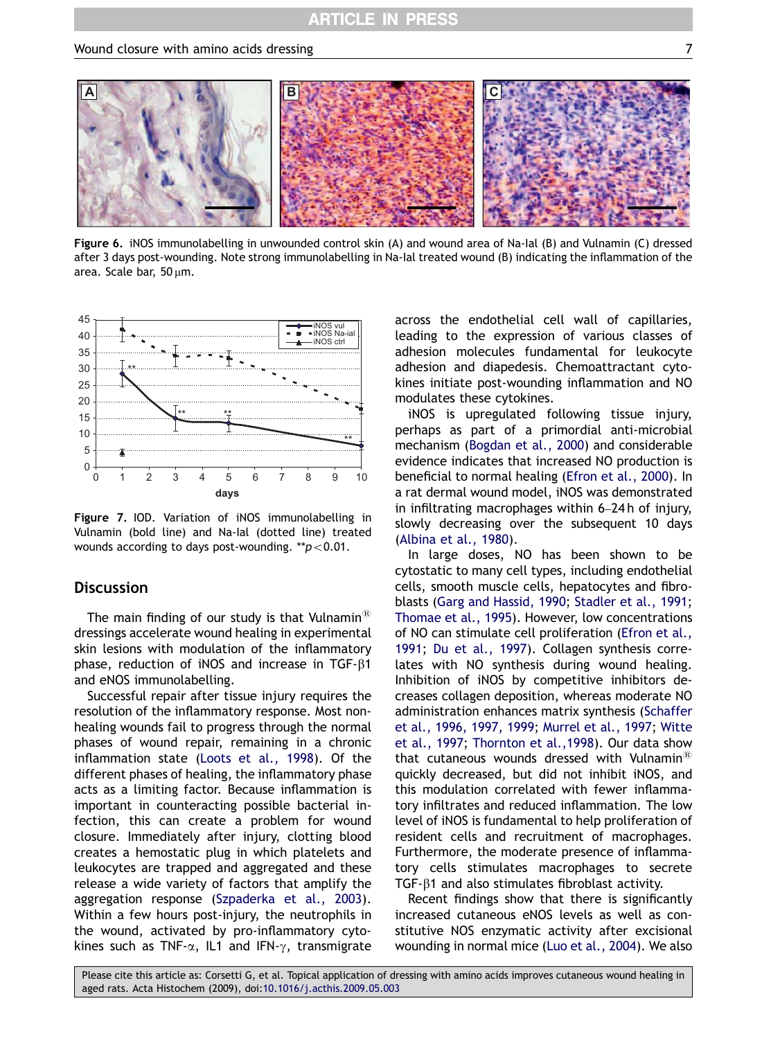<span id="page-6-0"></span>

Figure 6. iNOS immunolabelling in unwounded control skin (A) and wound area of Na-Ial (B) and Vulnamin (C) dressed after 3 days post-wounding. Note strong immunolabelling in Na-Ial treated wound (B) indicating the inflammation of the area. Scale bar,  $50 \mu m$ .



Figure 7. IOD. Variation of iNOS immunolabelling in Vulnamin (bold line) and Na-Ial (dotted line) treated wounds according to days post-wounding. \*\* $p < 0.01$ .

## **Discussion**

The main finding of our study is that Vulnamin<sup>®</sup> dressings accelerate wound healing in experimental skin lesions with modulation of the inflammatory phase, reduction of iNOS and increase in  $TGF- $\beta$ 1$ and eNOS immunolabelling.

Successful repair after tissue injury requires the resolution of the inflammatory response. Most nonhealing wounds fail to progress through the normal phases of wound repair, remaining in a chronic inflammation state [\(Loots et al., 1998\)](#page-9-0). Of the different phases of healing, the inflammatory phase acts as a limiting factor. Because inflammation is important in counteracting possible bacterial infection, this can create a problem for wound closure. Immediately after injury, clotting blood creates a hemostatic plug in which platelets and leukocytes are trapped and aggregated and these release a wide variety of factors that amplify the aggregation response [\(Szpaderka et al., 2003\)](#page-10-0). Within a few hours post-injury, the neutrophils in the wound, activated by pro-inflammatory cytokines such as TNF- $\alpha$ , IL1 and IFN- $\gamma$ , transmigrate across the endothelial cell wall of capillaries, leading to the expression of various classes of adhesion molecules fundamental for leukocyte adhesion and diapedesis. Chemoattractant cytokines initiate post-wounding inflammation and NO modulates these cytokines.

iNOS is upregulated following tissue injury, perhaps as part of a primordial anti-microbial mechanism [\(Bogdan et al., 2000](#page-8-0)) and considerable evidence indicates that increased NO production is beneficial to normal healing ([Efron et al., 2000\)](#page-9-0). In a rat dermal wound model, iNOS was demonstrated in infiltrating macrophages within 6–24 h of injury, slowly decreasing over the subsequent 10 days [\(Albina et al., 1980\)](#page-8-0).

In large doses, NO has been shown to be cytostatic to many cell types, including endothelial cells, smooth muscle cells, hepatocytes and fibroblasts ([Garg and Hassid, 1990](#page-9-0); [Stadler et al., 1991](#page-10-0); [Thomae et al., 1995\)](#page-10-0). However, low concentrations of NO can stimulate cell proliferation ([Efron et al.,](#page-9-0) [1991;](#page-9-0) [Du et al., 1997](#page-9-0)). Collagen synthesis correlates with NO synthesis during wound healing. Inhibition of iNOS by competitive inhibitors decreases collagen deposition, whereas moderate NO administration enhances matrix synthesis [\(Schaffer](#page-9-0) [et al., 1996, 1997, 1999](#page-9-0); [Murrel et al., 1997;](#page-9-0) [Witte](#page-10-0) [et al., 1997](#page-10-0); [Thornton et al.,1998\)](#page-10-0). Our data show that cutaneous wounds dressed with Vulnamin $^{\circledR}$ quickly decreased, but did not inhibit iNOS, and this modulation correlated with fewer inflammatory infiltrates and reduced inflammation. The low level of iNOS is fundamental to help proliferation of resident cells and recruitment of macrophages. Furthermore, the moderate presence of inflammatory cells stimulates macrophages to secrete TGF- $\beta$ 1 and also stimulates fibroblast activity.

Recent findings show that there is significantly increased cutaneous eNOS levels as well as constitutive NOS enzymatic activity after excisional wounding in normal mice ([Luo et al., 2004](#page-9-0)). We also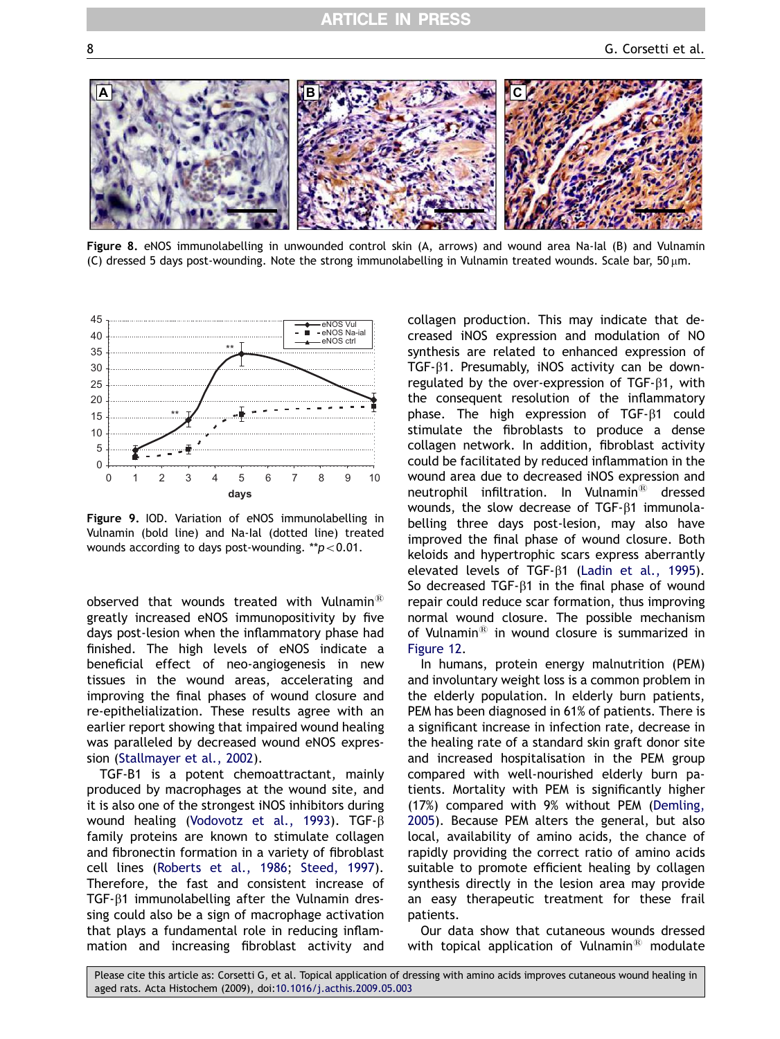<span id="page-7-0"></span>

Figure 8. eNOS immunolabelling in unwounded control skin (A, arrows) and wound area Na-Ial (B) and Vulnamin (C) dressed 5 days post-wounding. Note the strong immunolabelling in Vulnamin treated wounds. Scale bar,  $50 \,\text{\upmu m}$ .



Figure 9. IOD. Variation of eNOS immunolabelling in Vulnamin (bold line) and Na-Ial (dotted line) treated wounds according to days post-wounding.  $*p<0.01$ .

observed that wounds treated with Vulnamin $^{\text{\tiny{(B)}}}$ greatly increased eNOS immunopositivity by five days post-lesion when the inflammatory phase had finished. The high levels of eNOS indicate a beneficial effect of neo-angiogenesis in new tissues in the wound areas, accelerating and improving the final phases of wound closure and re-epithelialization. These results agree with an earlier report showing that impaired wound healing was paralleled by decreased wound eNOS expression ([Stallmayer et al., 2002\)](#page-10-0).

TGF-B1 is a potent chemoattractant, mainly produced by macrophages at the wound site, and it is also one of the strongest iNOS inhibitors during wound healing [\(Vodovotz et al., 1993](#page-10-0)). TGF- $\beta$ family proteins are known to stimulate collagen and fibronectin formation in a variety of fibroblast cell lines [\(Roberts et al., 1986](#page-9-0); [Steed, 1997](#page-10-0)). Therefore, the fast and consistent increase of TGF- $\beta$ 1 immunolabelling after the Vulnamin dressing could also be a sign of macrophage activation that plays a fundamental role in reducing inflammation and increasing fibroblast activity and

collagen production. This may indicate that decreased iNOS expression and modulation of NO synthesis are related to enhanced expression of TGF- $\beta$ 1. Presumably, iNOS activity can be downregulated by the over-expression of TGF- $\beta$ 1, with the consequent resolution of the inflammatory phase. The high expression of  $TGF- $\beta$ 1 could$ stimulate the fibroblasts to produce a dense collagen network. In addition, fibroblast activity could be facilitated by reduced inflammation in the wound area due to decreased iNOS expression and neutrophil infiltration. In Vulnamin $^{\text{\textregistered}}$  dressed wounds, the slow decrease of TGF- $\beta$ 1 immunolabelling three days post-lesion, may also have improved the final phase of wound closure. Both keloids and hypertrophic scars express aberrantly elevated levels of TGF-<sup>B1</sup> ([Ladin et al., 1995](#page-9-0)). So decreased TGF- $\beta$ 1 in the final phase of wound repair could reduce scar formation, thus improving normal wound closure. The possible mechanism of Vulnamin $^{\circledR}$  in wound closure is summarized in [Figure 12.](#page-8-0)

In humans, protein energy malnutrition (PEM) and involuntary weight loss is a common problem in the elderly population. In elderly burn patients, PEM has been diagnosed in 61% of patients. There is a significant increase in infection rate, decrease in the healing rate of a standard skin graft donor site and increased hospitalisation in the PEM group compared with well-nourished elderly burn patients. Mortality with PEM is significantly higher (17%) compared with 9% without PEM [\(Demling,](#page-9-0) [2005](#page-9-0)). Because PEM alters the general, but also local, availability of amino acids, the chance of rapidly providing the correct ratio of amino acids suitable to promote efficient healing by collagen synthesis directly in the lesion area may provide an easy therapeutic treatment for these frail patients.

Our data show that cutaneous wounds dressed with topical application of Vulnamin<sup>®</sup> modulate

Please cite this article as: Corsetti G, et al. Topical application of dressing with amino acids improves cutaneous wound healing in aged rats. Acta Histochem (2009), doi:[10.1016/j.acthis.2009.05.003](dx.doi.org/10.1016/j.acthis.2009.05.003)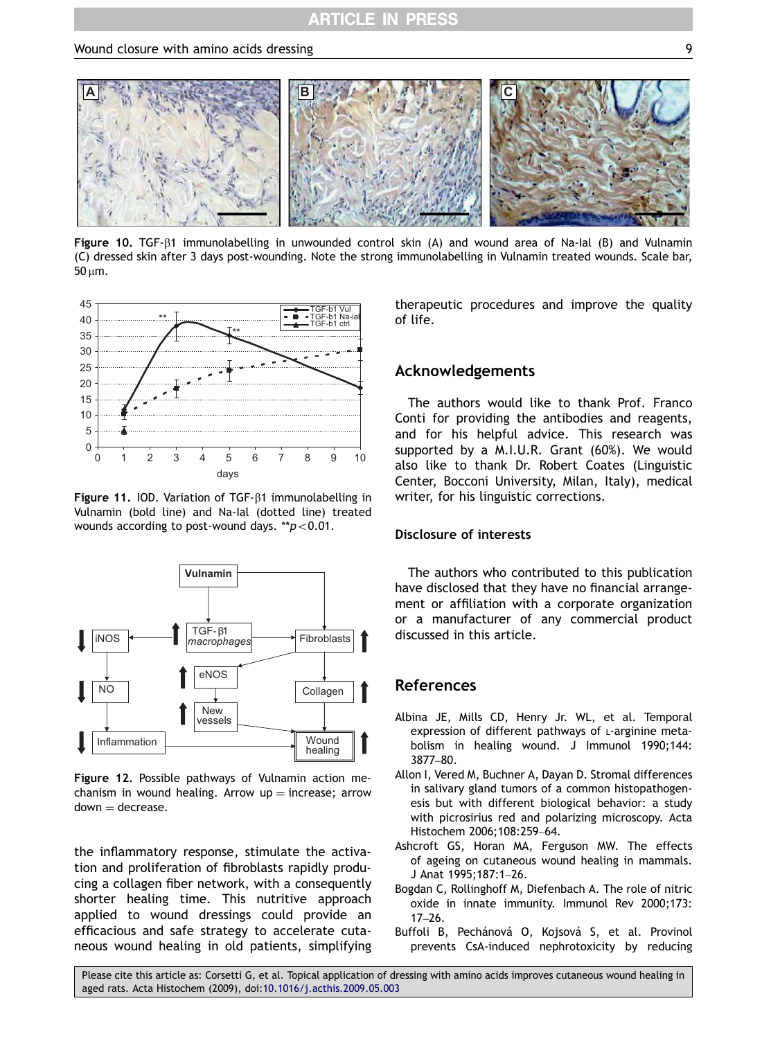<span id="page-8-0"></span>

Figure 10. TGF-B1 immunolabelling in unwounded control skin (A) and wound area of Na-Ial (B) and Vulnamin (C) dressed skin after 3 days post-wounding. Note the strong immunolabelling in Vulnamin treated wounds. Scale bar,  $50 \mu m$ .



Figure 11. IOD. Variation of TGF-b1 immunolabelling in Vulnamin (bold line) and Na-Ial (dotted line) treated wounds according to post-wound days.  $*p<0.01$ .



Figure 12. Possible pathways of Vulnamin action mechanism in wound healing. Arrow  $up =$  increase; arrow  $down = decrease.$ 

the inflammatory response, stimulate the activation and proliferation of fibroblasts rapidly producing a collagen fiber network, with a consequently shorter healing time. This nutritive approach applied to wound dressings could provide an efficacious and safe strategy to accelerate cutaneous wound healing in old patients, simplifying therapeutic procedures and improve the quality of life.

## Acknowledgements

The authors would like to thank Prof. Franco Conti for providing the antibodies and reagents, and for his helpful advice. This research was supported by a M.I.U.R. Grant (60%). We would also like to thank Dr. Robert Coates (Linguistic Center, Bocconi University, Milan, Italy), medical writer, for his linguistic corrections.

## Disclosure of interests

The authors who contributed to this publication have disclosed that they have no financial arrangement or affiliation with a corporate organization or a manufacturer of any commercial product discussed in this article.

## References

- Albina JE, Mills CD, Henry Jr. WL, et al. Temporal expression of different pathways of L-arginine metabolism in healing wound. J Immunol 1990;144: 3877–80.
- Allon I, Vered M, Buchner A, Dayan D. Stromal differences in salivary gland tumors of a common histopathogenesis but with different biological behavior: a study with picrosirius red and polarizing microscopy. Acta Histochem 2006;108:259–64.
- Ashcroft GS, Horan MA, Ferguson MW. The effects of ageing on cutaneous wound healing in mammals. J Anat 1995;187:1–26.
- Bogdan C, Rollinghoff M, Diefenbach A. The role of nitric oxide in innate immunity. Immunol Rev 2000;173: 17–26.
- Buffoli B, Pechánová O, Kojsová S, et al. Provinol prevents CsA-induced nephrotoxicity by reducing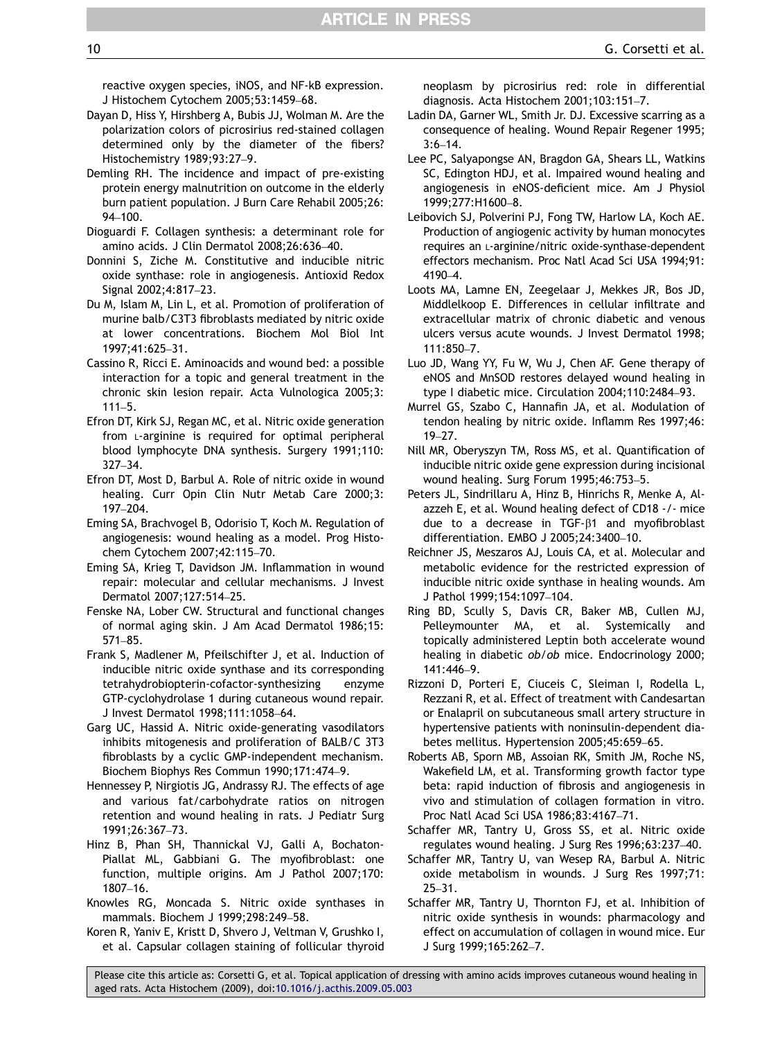<span id="page-9-0"></span>reactive oxygen species, iNOS, and NF-kB expression. J Histochem Cytochem 2005;53:1459–68.

- Dayan D, Hiss Y, Hirshberg A, Bubis JJ, Wolman M. Are the polarization colors of picrosirius red-stained collagen determined only by the diameter of the fibers? Histochemistry 1989;93:27–9.
- Demling RH. The incidence and impact of pre-existing protein energy malnutrition on outcome in the elderly burn patient population. J Burn Care Rehabil 2005;26: 94–100.
- Dioguardi F. Collagen synthesis: a determinant role for amino acids. J Clin Dermatol 2008;26:636–40.
- Donnini S, Ziche M. Constitutive and inducible nitric oxide synthase: role in angiogenesis. Antioxid Redox Signal 2002;4:817–23.
- Du M, Islam M, Lin L, et al. Promotion of proliferation of murine balb/C3T3 fibroblasts mediated by nitric oxide at lower concentrations. Biochem Mol Biol Int 1997;41:625–31.
- Cassino R, Ricci E. Aminoacids and wound bed: a possible interaction for a topic and general treatment in the chronic skin lesion repair. Acta Vulnologica 2005;3: 111–5.
- Efron DT, Kirk SJ, Regan MC, et al. Nitric oxide generation from L-arginine is required for optimal peripheral blood lymphocyte DNA synthesis. Surgery 1991;110: 327–34.
- Efron DT, Most D, Barbul A. Role of nitric oxide in wound healing. Curr Opin Clin Nutr Metab Care 2000;3: 197–204.
- Eming SA, Brachvogel B, Odorisio T, Koch M. Regulation of angiogenesis: wound healing as a model. Prog Histochem Cytochem 2007;42:115–70.
- Eming SA, Krieg T, Davidson JM. Inflammation in wound repair: molecular and cellular mechanisms. J Invest Dermatol 2007;127:514–25.
- Fenske NA, Lober CW. Structural and functional changes of normal aging skin. J Am Acad Dermatol 1986;15: 571–85.
- Frank S, Madlener M, Pfeilschifter J, et al. Induction of inducible nitric oxide synthase and its corresponding tetrahydrobiopterin-cofactor-synthesizing enzyme GTP-cyclohydrolase 1 during cutaneous wound repair. J Invest Dermatol 1998;111:1058–64.
- Garg UC, Hassid A. Nitric oxide-generating vasodilators inhibits mitogenesis and proliferation of BALB/C 3T3 fibroblasts by a cyclic GMP-independent mechanism. Biochem Biophys Res Commun 1990;171:474–9.
- Hennessey P, Nirgiotis JG, Andrassy RJ. The effects of age and various fat/carbohydrate ratios on nitrogen retention and wound healing in rats. J Pediatr Surg 1991;26:367–73.
- Hinz B, Phan SH, Thannickal VJ, Galli A, Bochaton-Piallat ML, Gabbiani G. The myofibroblast: one function, multiple origins. Am J Pathol 2007;170: 1807–16.
- Knowles RG, Moncada S. Nitric oxide synthases in mammals. Biochem J 1999;298:249–58.
- Koren R, Yaniv E, Kristt D, Shvero J, Veltman V, Grushko I, et al. Capsular collagen staining of follicular thyroid

neoplasm by picrosirius red: role in differential diagnosis. Acta Histochem 2001;103:151–7.

- Ladin DA, Garner WL, Smith Jr. DJ. Excessive scarring as a consequence of healing. Wound Repair Regener 1995; 3:6–14.
- Lee PC, Salyapongse AN, Bragdon GA, Shears LL, Watkins SC, Edington HDJ, et al. Impaired wound healing and angiogenesis in eNOS-deficient mice. Am J Physiol 1999;277:H1600–8.
- Leibovich SJ, Polverini PJ, Fong TW, Harlow LA, Koch AE. Production of angiogenic activity by human monocytes requires an L-arginine/nitric oxide-synthase-dependent effectors mechanism. Proc Natl Acad Sci USA 1994;91: 4190–4.
- Loots MA, Lamne EN, Zeegelaar J, Mekkes JR, Bos JD, Middlelkoop E. Differences in cellular infiltrate and extracellular matrix of chronic diabetic and venous ulcers versus acute wounds. J Invest Dermatol 1998; 111:850–7.
- Luo JD, Wang YY, Fu W, Wu J, Chen AF. Gene therapy of eNOS and MnSOD restores delayed wound healing in type I diabetic mice. Circulation 2004;110:2484–93.
- Murrel GS, Szabo C, Hannafin JA, et al. Modulation of tendon healing by nitric oxide. Inflamm Res 1997;46: 19–27.
- Nill MR, Oberyszyn TM, Ross MS, et al. Quantification of inducible nitric oxide gene expression during incisional wound healing. Surg Forum 1995;46:753–5.
- Peters JL, Sindrillaru A, Hinz B, Hinrichs R, Menke A, Alazzeh E, et al. Wound healing defect of CD18 -/- mice due to a decrease in TGF- $\beta$ 1 and myofibroblast differentiation. EMBO J 2005;24:3400–10.
- Reichner JS, Meszaros AJ, Louis CA, et al. Molecular and metabolic evidence for the restricted expression of inducible nitric oxide synthase in healing wounds. Am J Pathol 1999;154:1097–104.
- Ring BD, Scully S, Davis CR, Baker MB, Cullen MJ, Pelleymounter MA, et al. Systemically and topically administered Leptin both accelerate wound healing in diabetic ob/ob mice. Endocrinology 2000; 141:446–9.
- Rizzoni D, Porteri E, Ciuceis C, Sleiman I, Rodella L, Rezzani R, et al. Effect of treatment with Candesartan or Enalapril on subcutaneous small artery structure in hypertensive patients with noninsulin-dependent diabetes mellitus. Hypertension 2005;45:659–65.
- Roberts AB, Sporn MB, Assoian RK, Smith JM, Roche NS, Wakefield LM, et al. Transforming growth factor type beta: rapid induction of fibrosis and angiogenesis in vivo and stimulation of collagen formation in vitro. Proc Natl Acad Sci USA 1986;83:4167–71.
- Schaffer MR, Tantry U, Gross SS, et al. Nitric oxide regulates wound healing. J Surg Res 1996;63:237–40.
- Schaffer MR, Tantry U, van Wesep RA, Barbul A. Nitric oxide metabolism in wounds. J Surg Res 1997;71: 25–31.
- Schaffer MR, Tantry U, Thornton FJ, et al. Inhibition of nitric oxide synthesis in wounds: pharmacology and effect on accumulation of collagen in wound mice. Eur J Surg 1999;165:262–7.

Please cite this article as: Corsetti G, et al. Topical application of dressing with amino acids improves cutaneous wound healing in aged rats. Acta Histochem (2009), doi:[10.1016/j.acthis.2009.05.003](dx.doi.org/10.1016/j.acthis.2009.05.003)